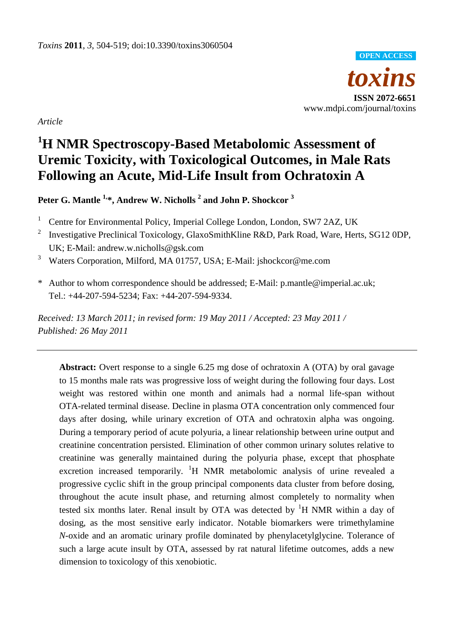

*Article*

# **<sup>1</sup>H NMR Spectroscopy-Based Metabolomic Assessment of Uremic Toxicity, with Toxicological Outcomes, in Male Rats Following an Acute, Mid-Life Insult from Ochratoxin A**

**Peter G. Mantle 1,\*, Andrew W. Nicholls <sup>2</sup> and John P. Shockcor <sup>3</sup>**

- <sup>1</sup> Centre for Environmental Policy, Imperial College London, London, SW7 2AZ, UK
- 2 Investigative Preclinical Toxicology, GlaxoSmithKline R&D, Park Road, Ware, Herts, SG12 0DP, UK; E-Mail: andrew.w.nicholls@gsk.com
- <sup>3</sup> Waters Corporation, Milford, MA 01757, USA; E-Mail: jshockcor@me.com
- \* Author to whom correspondence should be addressed; E-Mail: p.mantle@imperial.ac.uk; Tel.: +44-207-594-5234; Fax: +44-207-594-9334.

*Received: 13 March 2011; in revised form: 19 May 2011 / Accepted: 23 May 2011 / Published: 26 May 2011*

**Abstract:** Overt response to a single 6.25 mg dose of ochratoxin A (OTA) by oral gavage to 15 months male rats was progressive loss of weight during the following four days. Lost weight was restored within one month and animals had a normal life-span without OTA-related terminal disease. Decline in plasma OTA concentration only commenced four days after dosing, while urinary excretion of OTA and ochratoxin alpha was ongoing. During a temporary period of acute polyuria, a linear relationship between urine output and creatinine concentration persisted. Elimination of other common urinary solutes relative to creatinine was generally maintained during the polyuria phase, except that phosphate excretion increased temporarily.  ${}^{1}H$  NMR metabolomic analysis of urine revealed a progressive cyclic shift in the group principal components data cluster from before dosing, throughout the acute insult phase, and returning almost completely to normality when tested six months later. Renal insult by OTA was detected by  ${}^{1}H$  NMR within a day of dosing, as the most sensitive early indicator. Notable biomarkers were trimethylamine *N*-oxide and an aromatic urinary profile dominated by phenylacetylglycine. Tolerance of such a large acute insult by OTA, assessed by rat natural lifetime outcomes, adds a new dimension to toxicology of this xenobiotic.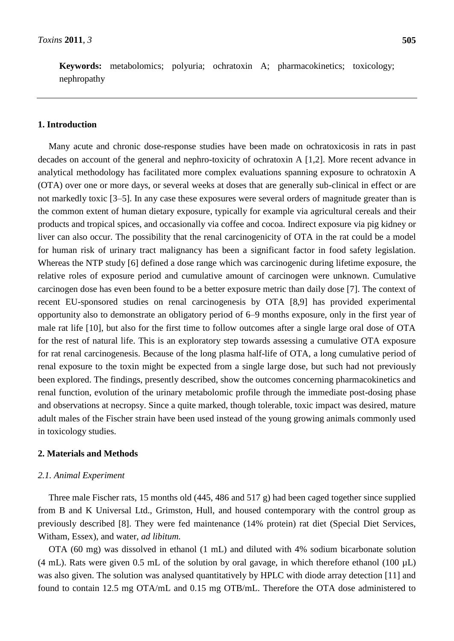**Keywords:** metabolomics; polyuria; ochratoxin A; pharmacokinetics; toxicology; nephropathy

# **1. Introduction**

Many acute and chronic dose-response studies have been made on ochratoxicosis in rats in past decades on account of the general and nephro-toxicity of ochratoxin A [1,2]. More recent advance in analytical methodology has facilitated more complex evaluations spanning exposure to ochratoxin A (OTA) over one or more days, or several weeks at doses that are generally sub-clinical in effect or are not markedly toxic [3–5]. In any case these exposures were several orders of magnitude greater than is the common extent of human dietary exposure, typically for example via agricultural cereals and their products and tropical spices, and occasionally via coffee and cocoa. Indirect exposure via pig kidney or liver can also occur. The possibility that the renal carcinogenicity of OTA in the rat could be a model for human risk of urinary tract malignancy has been a significant factor in food safety legislation. Whereas the NTP study [6] defined a dose range which was carcinogenic during lifetime exposure, the relative roles of exposure period and cumulative amount of carcinogen were unknown. Cumulative carcinogen dose has even been found to be a better exposure metric than daily dose [7]. The context of recent EU-sponsored studies on renal carcinogenesis by OTA [8,9] has provided experimental opportunity also to demonstrate an obligatory period of 6–9 months exposure, only in the first year of male rat life [10], but also for the first time to follow outcomes after a single large oral dose of OTA for the rest of natural life. This is an exploratory step towards assessing a cumulative OTA exposure for rat renal carcinogenesis. Because of the long plasma half-life of OTA, a long cumulative period of renal exposure to the toxin might be expected from a single large dose, but such had not previously been explored. The findings, presently described, show the outcomes concerning pharmacokinetics and renal function, evolution of the urinary metabolomic profile through the immediate post-dosing phase and observations at necropsy. Since a quite marked, though tolerable, toxic impact was desired, mature adult males of the Fischer strain have been used instead of the young growing animals commonly used in toxicology studies.

# **2. Materials and Methods**

## *2.1. Animal Experiment*

Three male Fischer rats, 15 months old (445, 486 and 517 g) had been caged together since supplied from B and K Universal Ltd., Grimston, Hull, and housed contemporary with the control group as previously described [8]. They were fed maintenance (14% protein) rat diet (Special Diet Services, Witham, Essex), and water, *ad libitum.*

OTA (60 mg) was dissolved in ethanol (1 mL) and diluted with 4% sodium bicarbonate solution (4 mL). Rats were given 0.5 mL of the solution by oral gavage, in which therefore ethanol (100  $\mu$ L) was also given. The solution was analysed quantitatively by HPLC with diode array detection [11] and found to contain 12.5 mg OTA/mL and 0.15 mg OTB/mL. Therefore the OTA dose administered to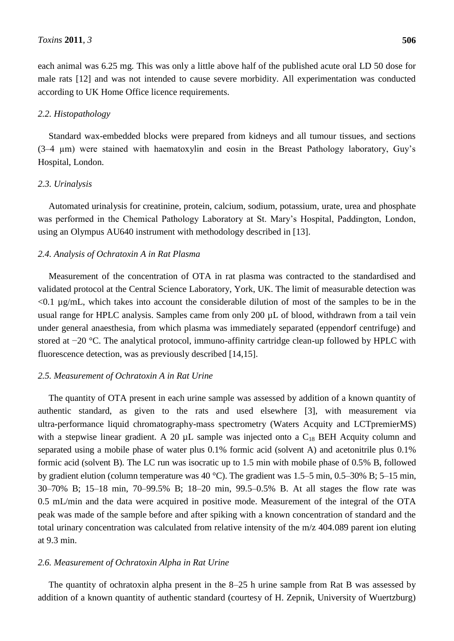each animal was 6.25 mg. This was only a little above half of the published acute oral LD 50 dose for male rats [12] and was not intended to cause severe morbidity. All experimentation was conducted according to UK Home Office licence requirements.

# *2.2. Histopathology*

Standard wax-embedded blocks were prepared from kidneys and all tumour tissues, and sections (3–4 µm) were stained with haematoxylin and eosin in the Breast Pathology laboratory, Guy"s Hospital, London.

## *2.3. Urinalysis*

Automated urinalysis for creatinine, protein, calcium, sodium, potassium, urate, urea and phosphate was performed in the Chemical Pathology Laboratory at St. Mary"s Hospital, Paddington, London, using an Olympus AU640 instrument with methodology described in [13].

## *2.4. Analysis of Ochratoxin A in Rat Plasma*

Measurement of the concentration of OTA in rat plasma was contracted to the standardised and validated protocol at the Central Science Laboratory, York, UK. The limit of measurable detection was  $\leq 0.1$  µg/mL, which takes into account the considerable dilution of most of the samples to be in the usual range for HPLC analysis. Samples came from only 200 µL of blood, withdrawn from a tail vein under general anaesthesia, from which plasma was immediately separated (eppendorf centrifuge) and stored at −20 °C. The analytical protocol, immuno-affinity cartridge clean-up followed by HPLC with fluorescence detection, was as previously described [14,15].

## *2.5. Measurement of Ochratoxin A in Rat Urine*

The quantity of OTA present in each urine sample was assessed by addition of a known quantity of authentic standard, as given to the rats and used elsewhere [3], with measurement via ultra-performance liquid chromatography-mass spectrometry (Waters Acquity and LCTpremierMS) with a stepwise linear gradient. A 20  $\mu$ L sample was injected onto a C<sub>18</sub> BEH Acquity column and separated using a mobile phase of water plus 0.1% formic acid (solvent A) and acetonitrile plus 0.1% formic acid (solvent B). The LC run was isocratic up to 1.5 min with mobile phase of 0.5% B, followed by gradient elution (column temperature was 40 °C). The gradient was 1.5–5 min, 0.5–30% B; 5–15 min, 30–70% B; 15–18 min, 70–99.5% B; 18–20 min, 99.5–0.5% B. At all stages the flow rate was 0.5 mL/min and the data were acquired in positive mode. Measurement of the integral of the OTA peak was made of the sample before and after spiking with a known concentration of standard and the total urinary concentration was calculated from relative intensity of the m/z 404.089 parent ion eluting at 9.3 min.

## *2.6. Measurement of Ochratoxin Alpha in Rat Urine*

The quantity of ochratoxin alpha present in the 8–25 h urine sample from Rat B was assessed by addition of a known quantity of authentic standard (courtesy of H. Zepnik, University of Wuertzburg)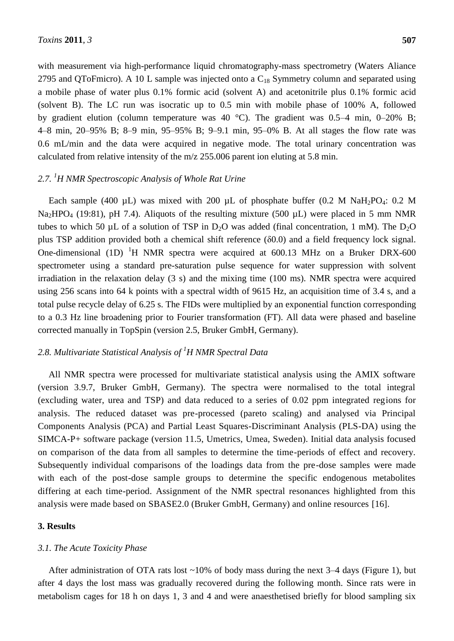with measurement via high-performance liquid chromatography-mass spectrometry (Waters Aliance 2795 and QToFmicro). A 10 L sample was injected onto a  $C_{18}$  Symmetry column and separated using a mobile phase of water plus 0.1% formic acid (solvent A) and acetonitrile plus 0.1% formic acid (solvent B). The LC run was isocratic up to 0.5 min with mobile phase of 100% A, followed by gradient elution (column temperature was 40 °C). The gradient was 0.5–4 min, 0–20% B; 4–8 min, 20–95% B; 8–9 min, 95–95% B; 9–9.1 min, 95–0% B. At all stages the flow rate was 0.6 mL/min and the data were acquired in negative mode. The total urinary concentration was calculated from relative intensity of the m/z 255.006 parent ion eluting at 5.8 min.

# *2.7. <sup>1</sup>H NMR Spectroscopic Analysis of Whole Rat Urine*

Each sample (400  $\mu$ L) was mixed with 200  $\mu$ L of phosphate buffer (0.2 M NaH<sub>2</sub>PO<sub>4</sub>: 0.2 M  $Na<sub>2</sub>HPO<sub>4</sub>$  (19:81), pH 7.4). Aliquots of the resulting mixture (500 µL) were placed in 5 mm NMR tubes to which 50  $\mu$ L of a solution of TSP in D<sub>2</sub>O was added (final concentration, 1 mM). The D<sub>2</sub>O plus TSP addition provided both a chemical shift reference (δ0.0) and a field frequency lock signal. One-dimensional (1D) <sup>1</sup>H NMR spectra were acquired at  $600.13$  MHz on a Bruker DRX-600 spectrometer using a standard pre-saturation pulse sequence for water suppression with solvent irradiation in the relaxation delay (3 s) and the mixing time (100 ms). NMR spectra were acquired using 256 scans into 64 k points with a spectral width of 9615 Hz, an acquisition time of 3.4 s, and a total pulse recycle delay of 6.25 s. The FIDs were multiplied by an exponential function corresponding to a 0.3 Hz line broadening prior to Fourier transformation (FT). All data were phased and baseline corrected manually in TopSpin (version 2.5, Bruker GmbH, Germany).

# *2.8. Multivariate Statistical Analysis of <sup>1</sup>H NMR Spectral Data*

All NMR spectra were processed for multivariate statistical analysis using the AMIX software (version 3.9.7, Bruker GmbH, Germany). The spectra were normalised to the total integral (excluding water, urea and TSP) and data reduced to a series of 0.02 ppm integrated regions for analysis. The reduced dataset was pre-processed (pareto scaling) and analysed via Principal Components Analysis (PCA) and Partial Least Squares-Discriminant Analysis (PLS-DA) using the SIMCA-P+ software package (version 11.5, Umetrics, Umea, Sweden). Initial data analysis focused on comparison of the data from all samples to determine the time-periods of effect and recovery. Subsequently individual comparisons of the loadings data from the pre-dose samples were made with each of the post-dose sample groups to determine the specific endogenous metabolites differing at each time-period. Assignment of the NMR spectral resonances highlighted from this analysis were made based on SBASE2.0 (Bruker GmbH, Germany) and online resources [16].

## **3. Results**

## *3.1. The Acute Toxicity Phase*

After administration of OTA rats lost ~10% of body mass during the next 3–4 days (Figure 1), but after 4 days the lost mass was gradually recovered during the following month. Since rats were in metabolism cages for 18 h on days 1, 3 and 4 and were anaesthetised briefly for blood sampling six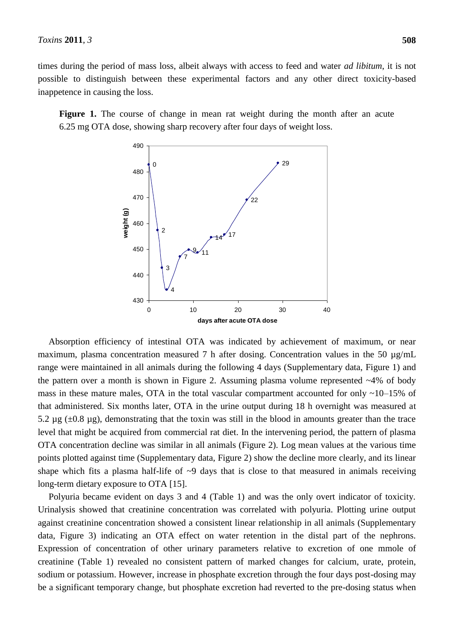times during the period of mass loss, albeit always with access to feed and water *ad libitum*, it is not possible to distinguish between these experimental factors and any other direct toxicity-based inappetence in causing the loss.

Figure 1. The course of change in mean rat weight during the month after an acute 6.25 mg OTA dose, showing sharp recovery after four days of weight loss.



Absorption efficiency of intestinal OTA was indicated by achievement of maximum, or near maximum, plasma concentration measured 7 h after dosing. Concentration values in the 50  $\mu$ g/mL range were maintained in all animals during the following 4 days (Supplementary data, Figure 1) and the pattern over a month is shown in Figure 2. Assuming plasma volume represented  $\sim$ 4% of body mass in these mature males, OTA in the total vascular compartment accounted for only ~10–15% of that administered. Six months later, OTA in the urine output during 18 h overnight was measured at 5.2  $\mu$ g ( $\pm$ 0.8  $\mu$ g), demonstrating that the toxin was still in the blood in amounts greater than the trace level that might be acquired from commercial rat diet. In the intervening period, the pattern of plasma OTA concentration decline was similar in all animals (Figure 2). Log mean values at the various time points plotted against time (Supplementary data, Figure 2) show the decline more clearly, and its linear shape which fits a plasma half-life of  $\sim$ 9 days that is close to that measured in animals receiving long-term dietary exposure to OTA [15].

Polyuria became evident on days 3 and 4 (Table 1) and was the only overt indicator of toxicity. Urinalysis showed that creatinine concentration was correlated with polyuria. Plotting urine output against creatinine concentration showed a consistent linear relationship in all animals (Supplementary data, Figure 3) indicating an OTA effect on water retention in the distal part of the nephrons. Expression of concentration of other urinary parameters relative to excretion of one mmole of creatinine (Table 1) revealed no consistent pattern of marked changes for calcium, urate, protein, sodium or potassium. However, increase in phosphate excretion through the four days post-dosing may be a significant temporary change, but phosphate excretion had reverted to the pre-dosing status when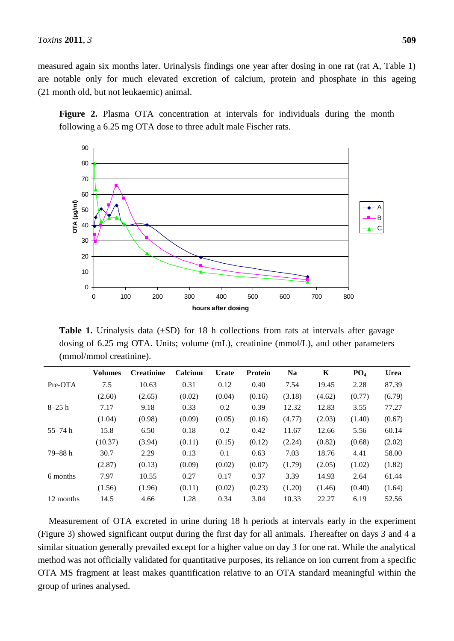measured again six months later. Urinalysis findings one year after dosing in one rat (rat A, Table 1) are notable only for much elevated excretion of calcium, protein and phosphate in this ageing (21 month old, but not leukaemic) animal.

**Figure 2.** Plasma OTA concentration at intervals for individuals during the month following a 6.25 mg OTA dose to three adult male Fischer rats.



**Table 1.** Urinalysis data ( $\pm SD$ ) for 18 h collections from rats at intervals after gavage dosing of 6.25 mg OTA. Units; volume (mL), creatinine (mmol/L), and other parameters (mmol/mmol creatinine).

|             | <b>Volumes</b> | <b>Creatinine</b> | Calcium | <b>Urate</b> | Protein | <b>Na</b> | K      | PO <sub>4</sub> | Urea   |
|-------------|----------------|-------------------|---------|--------------|---------|-----------|--------|-----------------|--------|
| Pre-OTA     | 7.5            | 10.63             | 0.31    | 0.12         | 0.40    | 7.54      | 19.45  | 2.28            | 87.39  |
|             | (2.60)         | (2.65)            | (0.02)  | (0.04)       | (0.16)  | (3.18)    | (4.62) | (0.77)          | (6.79) |
| $8 - 25h$   | 7.17           | 9.18              | 0.33    | 0.2          | 0.39    | 12.32     | 12.83  | 3.55            | 77.27  |
|             | (1.04)         | (0.98)            | (0.09)  | (0.05)       | (0.16)  | (4.77)    | (2.03) | (1.40)          | (0.67) |
| $55 - 74 h$ | 15.8           | 6.50              | 0.18    | 0.2          | 0.42    | 11.67     | 12.66  | 5.56            | 60.14  |
|             | (10.37)        | (3.94)            | (0.11)  | (0.15)       | (0.12)  | (2.24)    | (0.82) | (0.68)          | (2.02) |
| $79 - 88h$  | 30.7           | 2.29              | 0.13    | 0.1          | 0.63    | 7.03      | 18.76  | 4.41            | 58.00  |
|             | (2.87)         | (0.13)            | (0.09)  | (0.02)       | (0.07)  | (1.79)    | (2.05) | (1.02)          | (1.82) |
| 6 months    | 7.97           | 10.55             | 0.27    | 0.17         | 0.37    | 3.39      | 14.93  | 2.64            | 61.44  |
|             | (1.56)         | (1.96)            | (0.11)  | (0.02)       | (0.23)  | (1.20)    | (1.46) | (0.40)          | (1.64) |
| 12 months   | 14.5           | 4.66              | 1.28    | 0.34         | 3.04    | 10.33     | 22.27  | 6.19            | 52.56  |

Measurement of OTA excreted in urine during 18 h periods at intervals early in the experiment (Figure 3) showed significant output during the first day for all animals. Thereafter on days 3 and 4 a similar situation generally prevailed except for a higher value on day 3 for one rat. While the analytical method was not officially validated for quantitative purposes, its reliance on ion current from a specific OTA MS fragment at least makes quantification relative to an OTA standard meaningful within the group of urines analysed.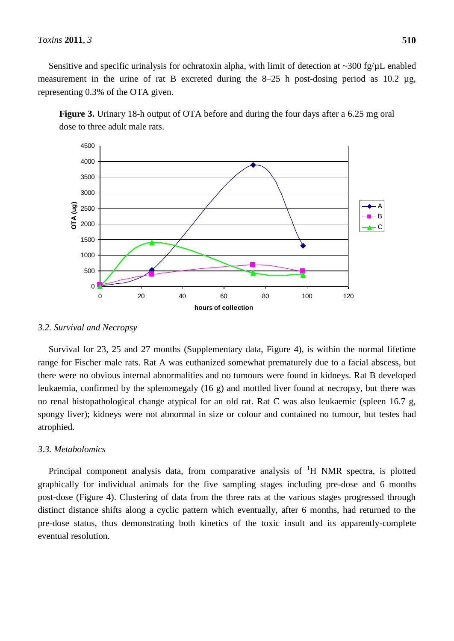Sensitive and specific urinalysis for ochratoxin alpha, with limit of detection at  $\sim$ 300 fg/ $\mu$ L enabled measurement in the urine of rat B excreted during the 8–25 h post-dosing period as 10.2 µg, representing 0.3% of the OTA given.

**Figure 3.** Urinary 18-h output of OTA before and during the four days after a 6.25 mg oral dose to three adult male rats.



#### *3.2. Survival and Necropsy*

Survival for 23, 25 and 27 months (Supplementary data, Figure 4), is within the normal lifetime range for Fischer male rats. Rat A was euthanized somewhat prematurely due to a facial abscess, but there were no obvious internal abnormalities and no tumours were found in kidneys. Rat B developed leukaemia, confirmed by the splenomegaly (16 g) and mottled liver found at necropsy, but there was no renal histopathological change atypical for an old rat. Rat C was also leukaemic (spleen 16.7 g, spongy liver); kidneys were not abnormal in size or colour and contained no tumour, but testes had atrophied.

## *3.3. Metabolomics*

Principal component analysis data, from comparative analysis of  ${}^{1}H$  NMR spectra, is plotted graphically for individual animals for the five sampling stages including pre-dose and 6 months post-dose (Figure 4). Clustering of data from the three rats at the various stages progressed through distinct distance shifts along a cyclic pattern which eventually, after 6 months, had returned to the pre-dose status, thus demonstrating both kinetics of the toxic insult and its apparently-complete eventual resolution.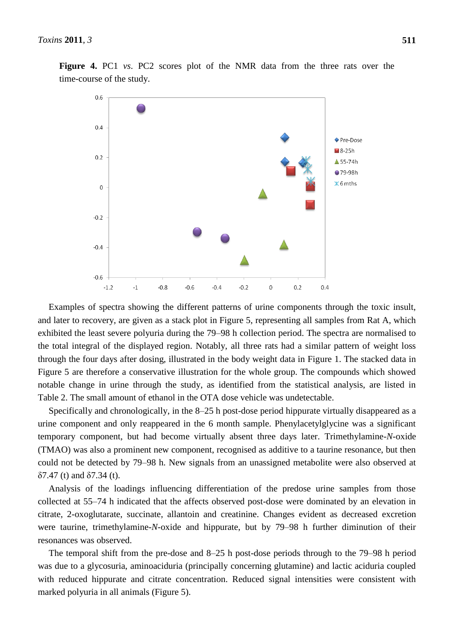

**Figure 4.** PC1 *vs*. PC2 scores plot of the NMR data from the three rats over the time-course of the study.

Examples of spectra showing the different patterns of urine components through the toxic insult, and later to recovery, are given as a stack plot in Figure 5, representing all samples from Rat A, which exhibited the least severe polyuria during the 79–98 h collection period. The spectra are normalised to the total integral of the displayed region. Notably, all three rats had a similar pattern of weight loss through the four days after dosing, illustrated in the body weight data in Figure 1. The stacked data in Figure 5 are therefore a conservative illustration for the whole group. The compounds which showed notable change in urine through the study, as identified from the statistical analysis, are listed in Table 2. The small amount of ethanol in the OTA dose vehicle was undetectable.

Specifically and chronologically, in the 8–25 h post-dose period hippurate virtually disappeared as a urine component and only reappeared in the 6 month sample. Phenylacetylglycine was a significant temporary component, but had become virtually absent three days later. Trimethylamine-*N*-oxide (TMAO) was also a prominent new component, recognised as additive to a taurine resonance, but then could not be detected by 79–98 h. New signals from an unassigned metabolite were also observed at δ7.47 (t) and δ7.34 (t).

Analysis of the loadings influencing differentiation of the predose urine samples from those collected at 55–74 h indicated that the affects observed post-dose were dominated by an elevation in citrate, 2-oxoglutarate, succinate, allantoin and creatinine. Changes evident as decreased excretion were taurine, trimethylamine-*N*-oxide and hippurate, but by 79–98 h further diminution of their resonances was observed.

The temporal shift from the pre-dose and 8–25 h post-dose periods through to the 79–98 h period was due to a glycosuria, aminoaciduria (principally concerning glutamine) and lactic aciduria coupled with reduced hippurate and citrate concentration. Reduced signal intensities were consistent with marked polyuria in all animals (Figure 5).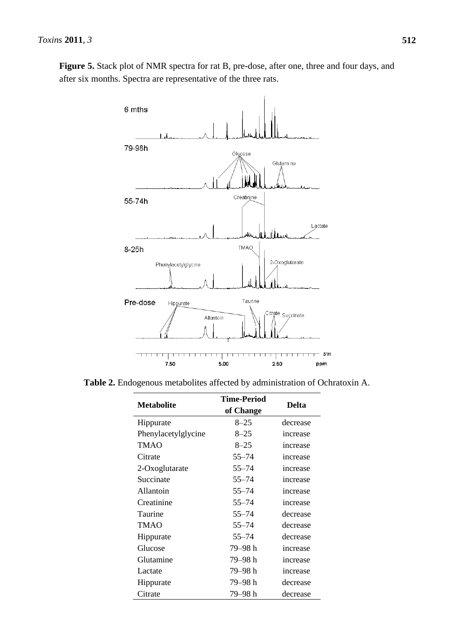Figure 5. Stack plot of NMR spectra for rat B, pre-dose, after one, three and four days, and after six months. Spectra are representative of the three rats.



**Table 2.** Endogenous metabolites affected by administration of Ochratoxin A.

|                     | <b>Time-Period</b> | <b>Delta</b> |  |
|---------------------|--------------------|--------------|--|
| <b>Metabolite</b>   | of Change          |              |  |
| Hippurate           | $8 - 25$           | decrease     |  |
| Phenylacetylglycine | $8 - 25$           | increase     |  |
| TMAO                | $8 - 25$           | increase     |  |
| Citrate             | $55 - 74$          | increase     |  |
| 2-Oxoglutarate      | $55 - 74$          | increase     |  |
| Succinate           | $55 - 74$          | increase     |  |
| Allantoin           | $55 - 74$          | increase     |  |
| Creatinine          | $55 - 74$          | increase     |  |
| Taurine             | $55 - 74$          | decrease     |  |
| TMAO                | $55 - 74$          | decrease     |  |
| Hippurate           | 55–74              | decrease     |  |
| Glucose             | 79–98 h            | increase     |  |
| Glutamine           | 79–98 h            | increase     |  |
| Lactate             | 79–98 h            | increase     |  |
| Hippurate           | 79–98 h            | decrease     |  |
| Citrate             | 79–98 h            | decrease     |  |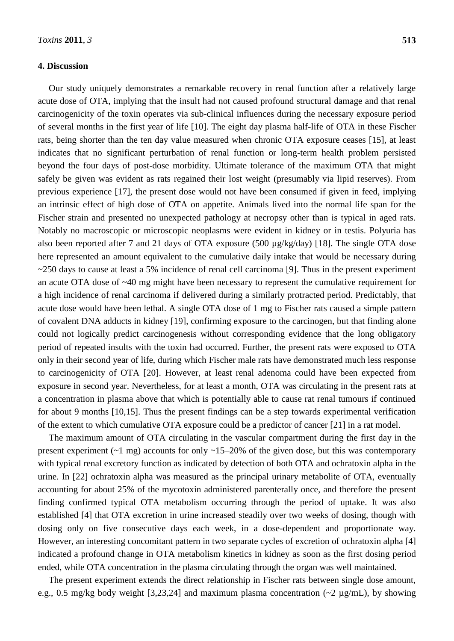## **4. Discussion**

Our study uniquely demonstrates a remarkable recovery in renal function after a relatively large acute dose of OTA, implying that the insult had not caused profound structural damage and that renal carcinogenicity of the toxin operates via sub-clinical influences during the necessary exposure period of several months in the first year of life [10]. The eight day plasma half-life of OTA in these Fischer rats, being shorter than the ten day value measured when chronic OTA exposure ceases [15], at least indicates that no significant perturbation of renal function or long-term health problem persisted beyond the four days of post-dose morbidity. Ultimate tolerance of the maximum OTA that might safely be given was evident as rats regained their lost weight (presumably via lipid reserves). From previous experience [17], the present dose would not have been consumed if given in feed, implying an intrinsic effect of high dose of OTA on appetite. Animals lived into the normal life span for the Fischer strain and presented no unexpected pathology at necropsy other than is typical in aged rats. Notably no macroscopic or microscopic neoplasms were evident in kidney or in testis. Polyuria has also been reported after 7 and 21 days of OTA exposure (500 µg/kg/day) [18]. The single OTA dose here represented an amount equivalent to the cumulative daily intake that would be necessary during  $\sim$ 250 days to cause at least a 5% incidence of renal cell carcinoma [9]. Thus in the present experiment an acute OTA dose of ~40 mg might have been necessary to represent the cumulative requirement for a high incidence of renal carcinoma if delivered during a similarly protracted period. Predictably, that acute dose would have been lethal. A single OTA dose of 1 mg to Fischer rats caused a simple pattern of covalent DNA adducts in kidney [19], confirming exposure to the carcinogen, but that finding alone could not logically predict carcinogenesis without corresponding evidence that the long obligatory period of repeated insults with the toxin had occurred. Further, the present rats were exposed to OTA only in their second year of life, during which Fischer male rats have demonstrated much less response to carcinogenicity of OTA [20]. However, at least renal adenoma could have been expected from exposure in second year. Nevertheless, for at least a month, OTA was circulating in the present rats at a concentration in plasma above that which is potentially able to cause rat renal tumours if continued for about 9 months [10,15]. Thus the present findings can be a step towards experimental verification of the extent to which cumulative OTA exposure could be a predictor of cancer [21] in a rat model.

The maximum amount of OTA circulating in the vascular compartment during the first day in the present experiment  $(-1 \text{ mg})$  accounts for only  $-15-20\%$  of the given dose, but this was contemporary with typical renal excretory function as indicated by detection of both OTA and ochratoxin alpha in the urine. In [22] ochratoxin alpha was measured as the principal urinary metabolite of OTA, eventually accounting for about 25% of the mycotoxin administered parenterally once, and therefore the present finding confirmed typical OTA metabolism occurring through the period of uptake. It was also established [4] that OTA excretion in urine increased steadily over two weeks of dosing, though with dosing only on five consecutive days each week, in a dose-dependent and proportionate way. However, an interesting concomitant pattern in two separate cycles of excretion of ochratoxin alpha [4] indicated a profound change in OTA metabolism kinetics in kidney as soon as the first dosing period ended, while OTA concentration in the plasma circulating through the organ was well maintained.

The present experiment extends the direct relationship in Fischer rats between single dose amount, e.g., 0.5 mg/kg body weight [3,23,24] and maximum plasma concentration  $\left(\sim 2 \text{ µg/mL}\right)$ , by showing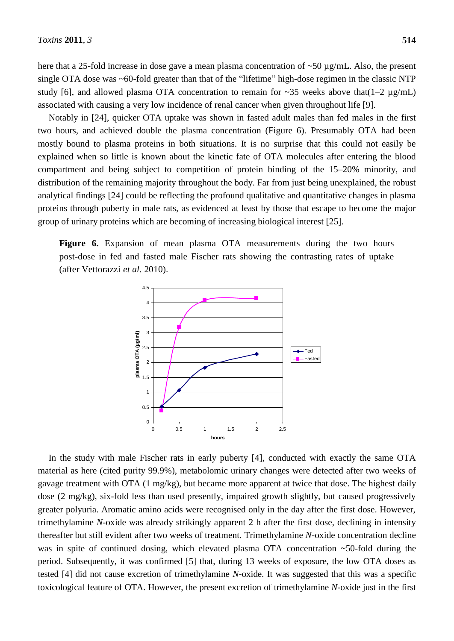here that a 25-fold increase in dose gave a mean plasma concentration of  $\sim$  50  $\mu$ g/mL. Also, the present single OTA dose was ~60-fold greater than that of the "lifetime" high-dose regimen in the classic NTP study [6], and allowed plasma OTA concentration to remain for  $\sim$ 35 weeks above that(1–2 µg/mL) associated with causing a very low incidence of renal cancer when given throughout life [9].

Notably in [24], quicker OTA uptake was shown in fasted adult males than fed males in the first two hours, and achieved double the plasma concentration (Figure 6). Presumably OTA had been mostly bound to plasma proteins in both situations. It is no surprise that this could not easily be explained when so little is known about the kinetic fate of OTA molecules after entering the blood compartment and being subject to competition of protein binding of the 15–20% minority, and distribution of the remaining majority throughout the body. Far from just being unexplained, the robust analytical findings [24] could be reflecting the profound qualitative and quantitative changes in plasma proteins through puberty in male rats, as evidenced at least by those that escape to become the major group of urinary proteins which are becoming of increasing biological interest [25].

**Figure 6.** Expansion of mean plasma OTA measurements during the two hours post-dose in fed and fasted male Fischer rats showing the contrasting rates of uptake (after Vettorazzi *et al.* 2010).



In the study with male Fischer rats in early puberty [4], conducted with exactly the same OTA material as here (cited purity 99.9%), metabolomic urinary changes were detected after two weeks of gavage treatment with OTA (1 mg/kg), but became more apparent at twice that dose. The highest daily dose (2 mg/kg), six-fold less than used presently, impaired growth slightly, but caused progressively greater polyuria. Aromatic amino acids were recognised only in the day after the first dose. However, trimethylamine *N*-oxide was already strikingly apparent 2 h after the first dose, declining in intensity thereafter but still evident after two weeks of treatment. Trimethylamine *N*-oxide concentration decline was in spite of continued dosing, which elevated plasma OTA concentration  $\sim$ 50-fold during the period. Subsequently, it was confirmed [5] that, during 13 weeks of exposure, the low OTA doses as tested [4] did not cause excretion of trimethylamine *N*-oxide. It was suggested that this was a specific toxicological feature of OTA. However, the present excretion of trimethylamine *N*-oxide just in the first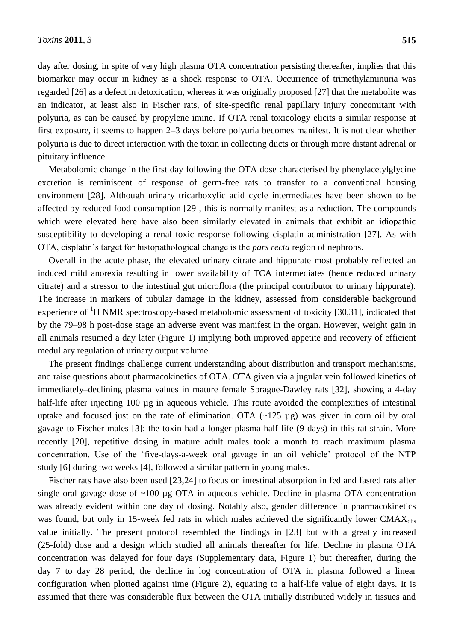day after dosing, in spite of very high plasma OTA concentration persisting thereafter, implies that this biomarker may occur in kidney as a shock response to OTA. Occurrence of trimethylaminuria was regarded [26] as a defect in detoxication, whereas it was originally proposed [27] that the metabolite was an indicator, at least also in Fischer rats, of site-specific renal papillary injury concomitant with polyuria, as can be caused by propylene imine. If OTA renal toxicology elicits a similar response at first exposure, it seems to happen 2–3 days before polyuria becomes manifest. It is not clear whether polyuria is due to direct interaction with the toxin in collecting ducts or through more distant adrenal or pituitary influence.

Metabolomic change in the first day following the OTA dose characterised by phenylacetylglycine excretion is reminiscent of response of germ-free rats to transfer to a conventional housing environment [28]. Although urinary tricarboxylic acid cycle intermediates have been shown to be affected by reduced food consumption [29], this is normally manifest as a reduction. The compounds which were elevated here have also been similarly elevated in animals that exhibit an idiopathic susceptibility to developing a renal toxic response following cisplatin administration [27]. As with OTA, cisplatin"s target for histopathological change is the *pars recta* region of nephrons.

Overall in the acute phase, the elevated urinary citrate and hippurate most probably reflected an induced mild anorexia resulting in lower availability of TCA intermediates (hence reduced urinary citrate) and a stressor to the intestinal gut microflora (the principal contributor to urinary hippurate). The increase in markers of tubular damage in the kidney, assessed from considerable background experience of  ${}^{1}H$  NMR spectroscopy-based metabolomic assessment of toxicity [30,31], indicated that by the 79–98 h post-dose stage an adverse event was manifest in the organ. However, weight gain in all animals resumed a day later (Figure 1) implying both improved appetite and recovery of efficient medullary regulation of urinary output volume.

The present findings challenge current understanding about distribution and transport mechanisms, and raise questions about pharmacokinetics of OTA. OTA given via a jugular vein followed kinetics of immediately–declining plasma values in mature female Sprague-Dawley rats [32], showing a 4-day half-life after injecting 100 µg in aqueous vehicle. This route avoided the complexities of intestinal uptake and focused just on the rate of elimination. OTA  $(\sim 125 \text{ µg})$  was given in corn oil by oral gavage to Fischer males [3]; the toxin had a longer plasma half life (9 days) in this rat strain. More recently [20], repetitive dosing in mature adult males took a month to reach maximum plasma concentration. Use of the "five-days-a-week oral gavage in an oil vehicle" protocol of the NTP study [6] during two weeks [4], followed a similar pattern in young males.

Fischer rats have also been used [23,24] to focus on intestinal absorption in fed and fasted rats after single oral gavage dose of  $\sim$ 100 µg OTA in aqueous vehicle. Decline in plasma OTA concentration was already evident within one day of dosing. Notably also, gender difference in pharmacokinetics was found, but only in 15-week fed rats in which males achieved the significantly lower  $CMAX<sub>obs</sub>$ value initially. The present protocol resembled the findings in [23] but with a greatly increased (25-fold) dose and a design which studied all animals thereafter for life. Decline in plasma OTA concentration was delayed for four days (Supplementary data, Figure 1) but thereafter, during the day 7 to day 28 period, the decline in log concentration of OTA in plasma followed a linear configuration when plotted against time (Figure 2), equating to a half-life value of eight days. It is assumed that there was considerable flux between the OTA initially distributed widely in tissues and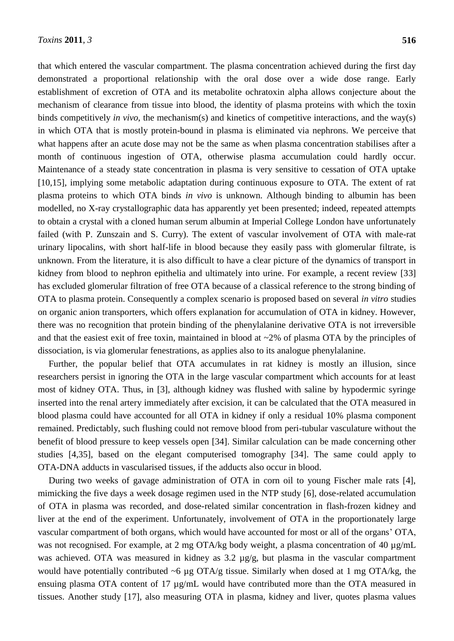that which entered the vascular compartment. The plasma concentration achieved during the first day demonstrated a proportional relationship with the oral dose over a wide dose range. Early establishment of excretion of OTA and its metabolite ochratoxin alpha allows conjecture about the mechanism of clearance from tissue into blood, the identity of plasma proteins with which the toxin binds competitively *in vivo*, the mechanism(s) and kinetics of competitive interactions, and the way(s) in which OTA that is mostly protein-bound in plasma is eliminated via nephrons. We perceive that what happens after an acute dose may not be the same as when plasma concentration stabilises after a month of continuous ingestion of OTA, otherwise plasma accumulation could hardly occur. Maintenance of a steady state concentration in plasma is very sensitive to cessation of OTA uptake [10,15], implying some metabolic adaptation during continuous exposure to OTA. The extent of rat plasma proteins to which OTA binds *in vivo* is unknown. Although binding to albumin has been modelled, no X-ray crystallographic data has apparently yet been presented; indeed, repeated attempts to obtain a crystal with a cloned human serum albumin at Imperial College London have unfortunately failed (with P. Zunszain and S. Curry). The extent of vascular involvement of OTA with male-rat urinary lipocalins, with short half-life in blood because they easily pass with glomerular filtrate, is unknown. From the literature, it is also difficult to have a clear picture of the dynamics of transport in kidney from blood to nephron epithelia and ultimately into urine. For example, a recent review [33] has excluded glomerular filtration of free OTA because of a classical reference to the strong binding of OTA to plasma protein. Consequently a complex scenario is proposed based on several *in vitro* studies on organic anion transporters, which offers explanation for accumulation of OTA in kidney. However, there was no recognition that protein binding of the phenylalanine derivative OTA is not irreversible and that the easiest exit of free toxin, maintained in blood at  $\sim$ 2% of plasma OTA by the principles of dissociation, is via glomerular fenestrations, as applies also to its analogue phenylalanine.

Further, the popular belief that OTA accumulates in rat kidney is mostly an illusion, since researchers persist in ignoring the OTA in the large vascular compartment which accounts for at least most of kidney OTA. Thus, in [3], although kidney was flushed with saline by hypodermic syringe inserted into the renal artery immediately after excision, it can be calculated that the OTA measured in blood plasma could have accounted for all OTA in kidney if only a residual 10% plasma component remained. Predictably, such flushing could not remove blood from peri-tubular vasculature without the benefit of blood pressure to keep vessels open [34]. Similar calculation can be made concerning other studies [4,35], based on the elegant computerised tomography [34]. The same could apply to OTA-DNA adducts in vascularised tissues, if the adducts also occur in blood.

During two weeks of gavage administration of OTA in corn oil to young Fischer male rats [4], mimicking the five days a week dosage regimen used in the NTP study [6], dose-related accumulation of OTA in plasma was recorded, and dose-related similar concentration in flash-frozen kidney and liver at the end of the experiment. Unfortunately, involvement of OTA in the proportionately large vascular compartment of both organs, which would have accounted for most or all of the organs" OTA, was not recognised. For example, at 2 mg OTA/kg body weight, a plasma concentration of 40 µg/mL was achieved. OTA was measured in kidney as 3.2  $\mu$ g/g, but plasma in the vascular compartment would have potentially contributed  $\sim$ 6 µg OTA/g tissue. Similarly when dosed at 1 mg OTA/kg, the ensuing plasma OTA content of 17 µg/mL would have contributed more than the OTA measured in tissues. Another study [17], also measuring OTA in plasma, kidney and liver, quotes plasma values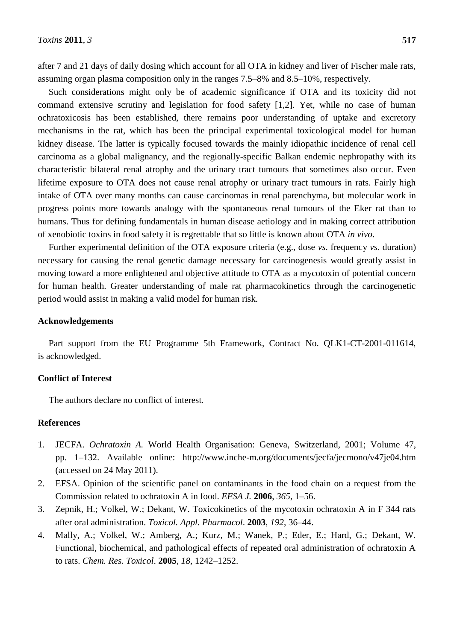after 7 and 21 days of daily dosing which account for all OTA in kidney and liver of Fischer male rats, assuming organ plasma composition only in the ranges 7.5–8% and 8.5–10%, respectively.

Such considerations might only be of academic significance if OTA and its toxicity did not command extensive scrutiny and legislation for food safety [1,2]. Yet, while no case of human ochratoxicosis has been established, there remains poor understanding of uptake and excretory mechanisms in the rat, which has been the principal experimental toxicological model for human kidney disease. The latter is typically focused towards the mainly idiopathic incidence of renal cell carcinoma as a global malignancy, and the regionally-specific Balkan endemic nephropathy with its characteristic bilateral renal atrophy and the urinary tract tumours that sometimes also occur. Even lifetime exposure to OTA does not cause renal atrophy or urinary tract tumours in rats. Fairly high intake of OTA over many months can cause carcinomas in renal parenchyma, but molecular work in progress points more towards analogy with the spontaneous renal tumours of the Eker rat than to humans. Thus for defining fundamentals in human disease aetiology and in making correct attribution of xenobiotic toxins in food safety it is regrettable that so little is known about OTA *in vivo*.

Further experimental definition of the OTA exposure criteria (e.g., dose *vs*. frequency *vs.* duration) necessary for causing the renal genetic damage necessary for carcinogenesis would greatly assist in moving toward a more enlightened and objective attitude to OTA as a mycotoxin of potential concern for human health. Greater understanding of male rat pharmacokinetics through the carcinogenetic period would assist in making a valid model for human risk.

## **Acknowledgements**

Part support from the EU Programme 5th Framework, Contract No. QLK1-CT-2001-011614, is acknowledged.

## **Conflict of Interest**

The authors declare no conflict of interest.

## **References**

- 1. JECFA. *Ochratoxin A.* World Health Organisation: Geneva, Switzerland, 2001; Volume 47, pp. 1–132. Available online: http://www.inche-m.org/documents/jecfa/jecmono/v47je04.htm (accessed on 24 May 2011).
- 2. EFSA. Opinion of the scientific panel on contaminants in the food chain on a request from the Commission related to ochratoxin A in food. *EFSA J.* **2006**, *365*, 1–56.
- 3. Zepnik, H.; Volkel, W.; Dekant, W. Toxicokinetics of the mycotoxin ochratoxin A in F 344 rats after oral administration. *Toxicol. Appl. Pharmacol*. **2003**, *192*, 36–44.
- 4. Mally, A.; Volkel, W.; Amberg, A.; Kurz, M.; Wanek, P.; Eder, E.; Hard, G.; Dekant, W. Functional, biochemical, and pathological effects of repeated oral administration of ochratoxin A to rats. *Chem. Res. Toxicol*. **2005**, *18*, 1242–1252.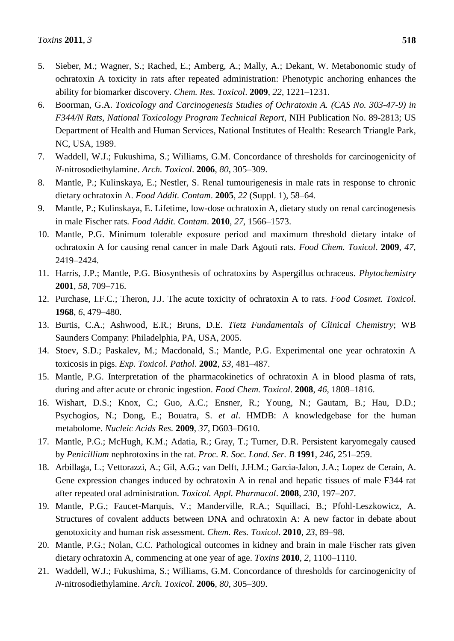- 5. Sieber, M.; Wagner, S.; Rached, E.; Amberg, A.; Mally, A.; Dekant, W. Metabonomic study of ochratoxin A toxicity in rats after repeated administration: Phenotypic anchoring enhances the ability for biomarker discovery. *Chem. Res. Toxicol*. **2009**, *22*, 1221–1231.
- 6. Boorman, G.A. *Toxicology and Carcinogenesis Studies of Ochratoxin A. (CAS No. 303-47-9) in F344/N Rats, National Toxicology Program Technical Report*, NIH Publication No. 89-2813; US Department of Health and Human Services, National Institutes of Health: Research Triangle Park, NC, USA, 1989.
- 7. Waddell, W.J.; Fukushima, S.; Williams, G.M. Concordance of thresholds for carcinogenicity of *N*-nitrosodiethylamine. *Arch. Toxicol*. **2006**, *80*, 305–309.
- 8. Mantle, P.; Kulinskaya, E.; Nestler, S. Renal tumourigenesis in male rats in response to chronic dietary ochratoxin A. *Food Addit. Contam*. **2005**, *22* (Suppl. 1), 58–64.
- 9. Mantle, P.; Kulinskaya, E. Lifetime, low-dose ochratoxin A, dietary study on renal carcinogenesis in male Fischer rats*. Food Addit. Contam*. **2010**, *27*, 1566–1573.
- 10. Mantle, P.G. Minimum tolerable exposure period and maximum threshold dietary intake of ochratoxin A for causing renal cancer in male Dark Agouti rats. *Food Chem. Toxicol*. **2009**, *47*, 2419–2424.
- 11. Harris, J.P.; Mantle, P.G. Biosynthesis of ochratoxins by Aspergillus ochraceus. *Phytochemistry* **2001**, *58*, 709–716.
- 12. Purchase, I.F.C.; Theron, J.J. The acute toxicity of ochratoxin A to rats. *Food Cosmet. Toxicol*. **1968**, *6*, 479–480.
- 13. Burtis, C.A.; Ashwood, E.R.; Bruns, D.E. *Tietz Fundamentals of Clinical Chemistry*; WB Saunders Company: Philadelphia, PA, USA, 2005.
- 14. Stoev, S.D.; Paskalev, M.; Macdonald, S.; Mantle, P.G. Experimental one year ochratoxin A toxicosis in pigs. *Exp. Toxicol. Pathol*. **2002**, *53*, 481–487.
- 15. Mantle, P.G. Interpretation of the pharmacokinetics of ochratoxin A in blood plasma of rats, during and after acute or chronic ingestion. *Food Chem. Toxicol*. **2008**, *46*, 1808–1816.
- 16. Wishart, D.S.; Knox, C.; Guo, A.C.; Ensner, R.; Young, N.; Gautam, B.; Hau, D.D.; Psychogios, N.; Dong, E.; Bouatra, S. *et al*. HMDB: A knowledgebase for the human metabolome. *Nucleic Acids Res.* **2009**, *37*, D603–D610.
- 17. Mantle, P.G.; McHugh, K.M.; Adatia, R.; Gray, T.; Turner, D.R. Persistent karyomegaly caused by *Penicillium* nephrotoxins in the rat. *Proc. R. Soc. Lond. Ser. B* **1991**, *246*, 251–259.
- 18. Arbillaga, L.; Vettorazzi, A.; Gil, A.G.; van Delft, J.H.M.; Garcia-Jalon, J.A.; Lopez de Cerain, A. Gene expression changes induced by ochratoxin A in renal and hepatic tissues of male F344 rat after repeated oral administration. *Toxicol. Appl. Pharmacol*. **2008**, *230*, 197–207.
- 19. Mantle, P.G.; Faucet-Marquis, V.; Manderville, R.A.; Squillaci, B.; Pfohl-Leszkowicz, A. Structures of covalent adducts between DNA and ochratoxin A: A new factor in debate about genotoxicity and human risk assessment. *Chem. Res. Toxicol*. **2010**, *23*, 89–98.
- 20. Mantle, P.G.; Nolan, C.C. Pathological outcomes in kidney and brain in male Fischer rats given dietary ochratoxin A, commencing at one year of age. *Toxins* **2010**, *2*, 1100–1110.
- 21. Waddell, W.J.; Fukushima, S.; Williams, G.M. Concordance of thresholds for carcinogenicity of *N*-nitrosodiethylamine. *Arch. Toxicol*. **2006**, *80*, 305–309.